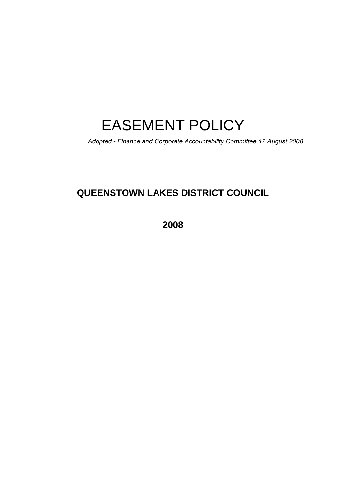# EASEMENT POLICY

*Adopted - Finance and Corporate Accountability Committee 12 August 2008*

## **QUEENSTOWN LAKES DISTRICT COUNCIL**

**2008**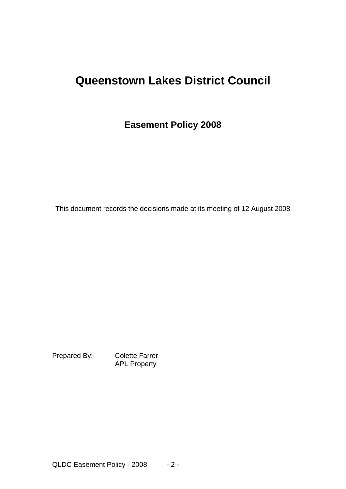## **Queenstown Lakes District Council**

## **Easement Policy 2008**

This document records the decisions made at its meeting of 12 August 2008

Prepared By: Colette Farrer APL Property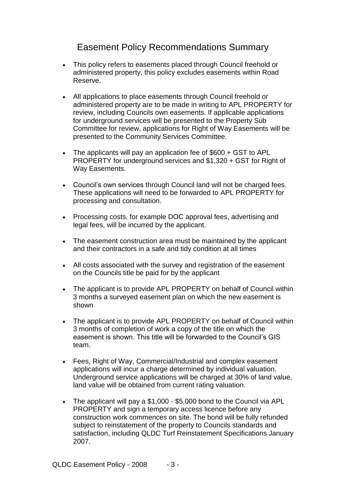## Easement Policy Recommendations Summary

- This policy refers to easements placed through Council freehold or administered property, this policy excludes easements within Road Reserve.
- All applications to place easements through Council freehold or administered property are to be made in writing to APL PROPERTY for review, including Councils own easements. If applicable applications for underground services will be presented to the Property Sub Committee for review, applications for Right of Way Easements will be presented to the Community Services Committee.
- The applicants will pay an application fee of \$600 + GST to APL PROPERTY for underground services and \$1,320 + GST for Right of Way Easements.
- Council's own services through Council land will not be charged fees. These applications will need to be forwarded to APL PROPERTY for processing and consultation.
- Processing costs, for example DOC approval fees, advertising and legal fees, will be incurred by the applicant.
- The easement construction area must be maintained by the applicant and their contractors in a safe and tidy condition at all times
- All costs associated with the survey and registration of the easement on the Councils title be paid for by the applicant
- The applicant is to provide APL PROPERTY on behalf of Council within 3 months a surveyed easement plan on which the new easement is shown
- The applicant is to provide APL PROPERTY on behalf of Council within 3 months of completion of work a copy of the title on which the easement is shown. This title will be forwarded to the Council's GIS team.
- Fees, Right of Way, Commercial/Industrial and complex easement applications will incur a charge determined by individual valuation. Underground service applications will be charged at 30% of land value, land value will be obtained from current rating valuation.
- The applicant will pay a \$1,000 \$5,000 bond to the Council via APL PROPERTY and sign a temporary access licence before any construction work commences on site. The bond will be fully refunded subject to reinstatement of the property to Councils standards and satisfaction, including QLDC Turf Reinstatement Specifications January 2007.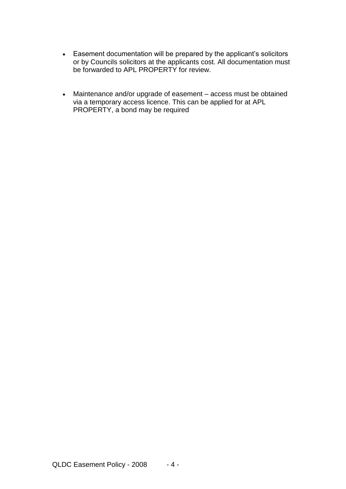- Easement documentation will be prepared by the applicant's solicitors or by Councils solicitors at the applicants cost. All documentation must be forwarded to APL PROPERTY for review.
- Maintenance and/or upgrade of easement access must be obtained via a temporary access licence. This can be applied for at APL PROPERTY, a bond may be required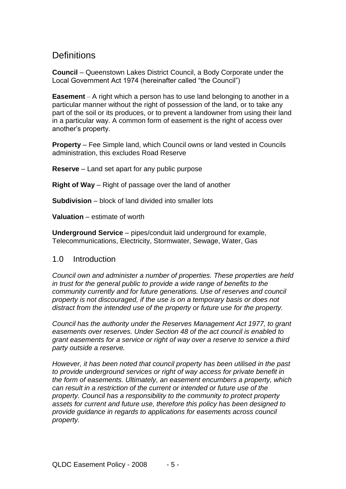## **Definitions**

**Council** – Queenstown Lakes District Council, a Body Corporate under the Local Government Act 1974 (hereinafter called "the Council")

**Easement** – A right which a person has to use land belonging to another in a particular manner without the right of possession of the land, or to take any part of the soil or its produces, or to prevent a landowner from using their land in a particular way. A common form of easement is the right of access over another's property.

**Property** – Fee Simple land, which Council owns or land vested in Councils administration, this excludes Road Reserve

**Reserve** – Land set apart for any public purpose

**Right of Way** – Right of passage over the land of another

**Subdivision** – block of land divided into smaller lots

**Valuation** – estimate of worth

**Underground Service** – pipes/conduit laid underground for example, Telecommunications, Electricity, Stormwater, Sewage, Water, Gas

#### 1.0 Introduction

*Council own and administer a number of properties. These properties are held in trust for the general public to provide a wide range of benefits to the community currently and for future generations. Use of reserves and council property is not discouraged, if the use is on a temporary basis or does not distract from the intended use of the property or future use for the property.*

*Council has the authority under the Reserves Management Act 1977, to grant easements over reserves. Under Section 48 of the act council is enabled to grant easements for a service or right of way over a reserve to service a third party outside a reserve.*

*However, it has been noted that council property has been utilised in the past to provide underground services or right of way access for private benefit in the form of easements. Ultimately, an easement encumbers a property, which can result in a restriction of the current or intended or future use of the property. Council has a responsibility to the community to protect property assets for current and future use, therefore this policy has been designed to provide guidance in regards to applications for easements across council property.*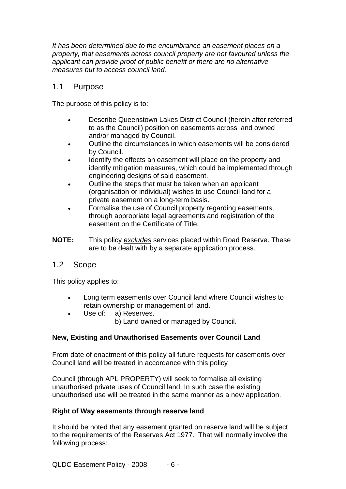*It has been determined due to the encumbrance an easement places on a property, that easements across council property are not favoured unless the applicant can provide proof of public benefit or there are no alternative measures but to access council land.*

#### 1.1 Purpose

The purpose of this policy is to:

- Describe Queenstown Lakes District Council (herein after referred to as the Council) position on easements across land owned and/or managed by Council.
- Outline the circumstances in which easements will be considered by Council.
- Identify the effects an easement will place on the property and identify mitigation measures, which could be implemented through engineering designs of said easement.
- Outline the steps that must be taken when an applicant (organisation or individual) wishes to use Council land for a private easement on a long-term basis.
- Formalise the use of Council property regarding easements, through appropriate legal agreements and registration of the easement on the Certificate of Title.
- **NOTE:** This policy *excludes* services placed within Road Reserve. These are to be dealt with by a separate application process.

#### 1.2 Scope

This policy applies to:

- Long term easements over Council land where Council wishes to retain ownership or management of land.
- Use of: a) Reserves.
	- b) Land owned or managed by Council.

#### **New, Existing and Unauthorised Easements over Council Land**

From date of enactment of this policy all future requests for easements over Council land will be treated in accordance with this policy

Council (through APL PROPERTY) will seek to formalise all existing unauthorised private uses of Council land. In such case the existing unauthorised use will be treated in the same manner as a new application.

#### **Right of Way easements through reserve land**

It should be noted that any easement granted on reserve land will be subject to the requirements of the Reserves Act 1977. That will normally involve the following process: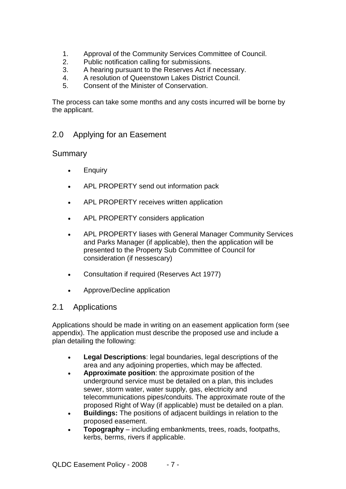- 1. Approval of the Community Services Committee of Council.
- 2. Public notification calling for submissions.
- 3. A hearing pursuant to the Reserves Act if necessary.
- 4. A resolution of Queenstown Lakes District Council.
- 5. Consent of the Minister of Conservation.

The process can take some months and any costs incurred will be borne by the applicant.

#### 2.0 Applying for an Easement

#### Summary

- Enquiry
- APL PROPERTY send out information pack
- APL PROPERTY receives written application
- APL PROPERTY considers application
- APL PROPERTY liases with General Manager Community Services and Parks Manager (if applicable), then the application will be presented to the Property Sub Committee of Council for consideration (if nessescary)
- Consultation if required (Reserves Act 1977)
- Approve/Decline application

#### 2.1 Applications

Applications should be made in writing on an easement application form (see appendix). The application must describe the proposed use and include a plan detailing the following:

- **Legal Descriptions**: legal boundaries, legal descriptions of the area and any adjoining properties, which may be affected.
- **Approximate position**: the approximate position of the underground service must be detailed on a plan, this includes sewer, storm water, water supply, gas, electricity and telecommunications pipes/conduits. The approximate route of the proposed Right of Way (if applicable) must be detailed on a plan.
- **Buildings:** The positions of adjacent buildings in relation to the proposed easement.
- **Topography** including embankments, trees, roads, footpaths, kerbs, berms, rivers if applicable.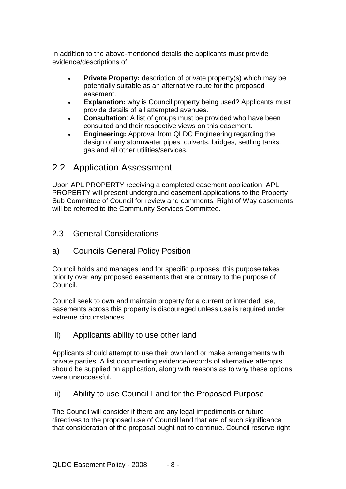In addition to the above-mentioned details the applicants must provide evidence/descriptions of:

- **Private Property:** description of private property(s) which may be potentially suitable as an alternative route for the proposed easement.
- **Explanation:** why is Council property being used? Applicants must provide details of all attempted avenues.
- **Consultation:** A list of groups must be provided who have been consulted and their respective views on this easement.
- **Engineering:** Approval from QLDC Engineering regarding the design of any stormwater pipes, culverts, bridges, settling tanks, gas and all other utilities/services.

## 2.2 Application Assessment

Upon APL PROPERTY receiving a completed easement application, APL PROPERTY will present underground easement applications to the Property Sub Committee of Council for review and comments. Right of Way easements will be referred to the Community Services Committee.

- 2.3 General Considerations
- a) Councils General Policy Position

Council holds and manages land for specific purposes; this purpose takes priority over any proposed easements that are contrary to the purpose of Council.

Council seek to own and maintain property for a current or intended use, easements across this property is discouraged unless use is required under extreme circumstances.

ii) Applicants ability to use other land

Applicants should attempt to use their own land or make arrangements with private parties. A list documenting evidence/records of alternative attempts should be supplied on application, along with reasons as to why these options were unsuccessful.

ii) Ability to use Council Land for the Proposed Purpose

The Council will consider if there are any legal impediments or future directives to the proposed use of Council land that are of such significance that consideration of the proposal ought not to continue. Council reserve right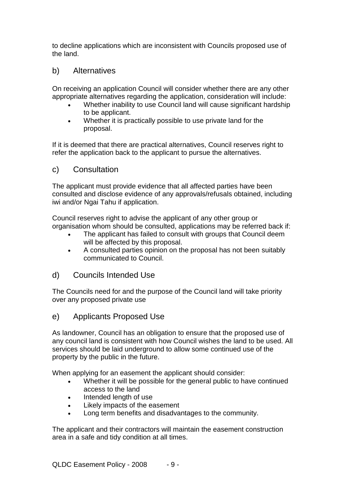to decline applications which are inconsistent with Councils proposed use of the land.

#### b) Alternatives

On receiving an application Council will consider whether there are any other appropriate alternatives regarding the application, consideration will include:

- Whether inability to use Council land will cause significant hardship to be applicant.
- Whether it is practically possible to use private land for the proposal.

If it is deemed that there are practical alternatives, Council reserves right to refer the application back to the applicant to pursue the alternatives.

#### c) Consultation

The applicant must provide evidence that all affected parties have been consulted and disclose evidence of any approvals/refusals obtained, including iwi and/or Ngai Tahu if application.

Council reserves right to advise the applicant of any other group or organisation whom should be consulted, applications may be referred back if:

- The applicant has failed to consult with groups that Council deem will be affected by this proposal.
- A consulted parties opinion on the proposal has not been suitably communicated to Council.

#### d) Councils Intended Use

The Councils need for and the purpose of the Council land will take priority over any proposed private use

#### e) Applicants Proposed Use

As landowner, Council has an obligation to ensure that the proposed use of any council land is consistent with how Council wishes the land to be used. All services should be laid underground to allow some continued use of the property by the public in the future.

When applying for an easement the applicant should consider:

- Whether it will be possible for the general public to have continued access to the land
- Intended length of use
- Likely impacts of the easement
- Long term benefits and disadvantages to the community.

The applicant and their contractors will maintain the easement construction area in a safe and tidy condition at all times.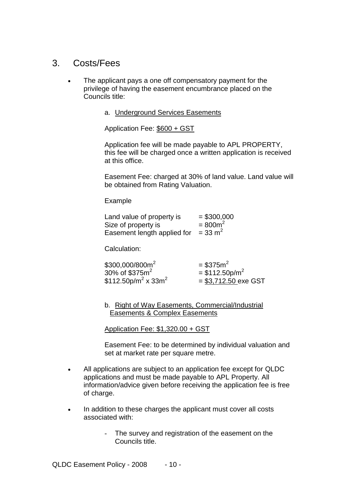## 3. Costs/Fees

- The applicant pays a one off compensatory payment for the privilege of having the easement encumbrance placed on the Councils title:
	- a. Underground Services Easements

Application Fee: \$600 + GST

Application fee will be made payable to APL PROPERTY, this fee will be charged once a written application is received at this office.

Easement Fee: charged at 30% of land value. Land value will be obtained from Rating Valuation.

Example

| Land value of property is   | $= $300,000$       |
|-----------------------------|--------------------|
| Size of property is         | $= 800m^2$         |
| Easement length applied for | $= 33 \text{ m}^2$ |

Calculation:

| \$300,000/800m <sup>2</sup>                 | $= $375m^2$                  |
|---------------------------------------------|------------------------------|
| 30% of $$375m2$                             | $=$ \$112.50p/m <sup>2</sup> |
| \$112.50p/m <sup>2</sup> x 33m <sup>2</sup> | $= $3,712.50$ exe GST        |

b. Right of Way Easements, Commercial/Industrial Easements & Complex Easements

Application Fee: \$1,320.00 + GST

Easement Fee: to be determined by individual valuation and set at market rate per square metre.

- All applications are subject to an application fee except for QLDC applications and must be made payable to APL Property. All information/advice given before receiving the application fee is free of charge.
- In addition to these charges the applicant must cover all costs associated with:
	- The survey and registration of the easement on the Councils title.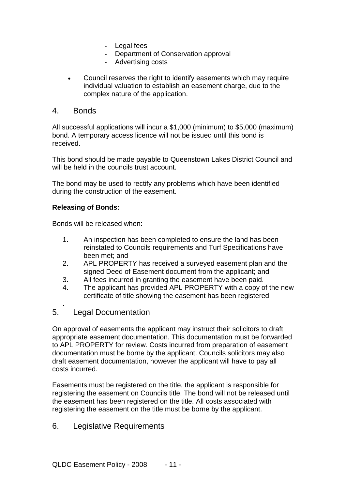- Legal fees
- Department of Conservation approval
- Advertising costs
- Council reserves the right to identify easements which may require individual valuation to establish an easement charge, due to the complex nature of the application.

#### 4. Bonds

All successful applications will incur a \$1,000 (minimum) to \$5,000 (maximum) bond. A temporary access licence will not be issued until this bond is received.

This bond should be made payable to Queenstown Lakes District Council and will be held in the councils trust account.

The bond may be used to rectify any problems which have been identified during the construction of the easement.

#### **Releasing of Bonds:**

Bonds will be released when:

- 1. An inspection has been completed to ensure the land has been reinstated to Councils requirements and Turf Specifications have been met; and
- 2. APL PROPERTY has received a surveyed easement plan and the signed Deed of Easement document from the applicant; and
- 3. All fees incurred in granting the easement have been paid.
- 4. The applicant has provided APL PROPERTY with a copy of the new certificate of title showing the easement has been registered

#### 5. Legal Documentation

.

On approval of easements the applicant may instruct their solicitors to draft appropriate easement documentation. This documentation must be forwarded to APL PROPERTY for review. Costs incurred from preparation of easement documentation must be borne by the applicant. Councils solicitors may also draft easement documentation, however the applicant will have to pay all costs incurred.

Easements must be registered on the title, the applicant is responsible for registering the easement on Councils title. The bond will not be released until the easement has been registered on the title. All costs associated with registering the easement on the title must be borne by the applicant.

#### 6. Legislative Requirements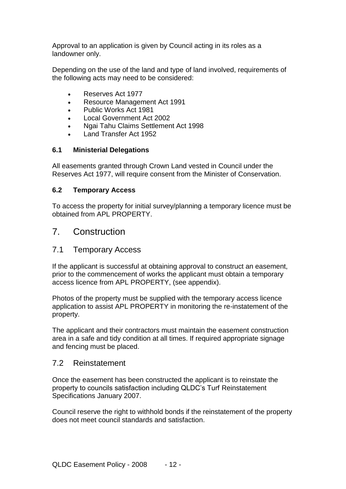Approval to an application is given by Council acting in its roles as a landowner only.

Depending on the use of the land and type of land involved, requirements of the following acts may need to be considered:

- Reserves Act 1977
- Resource Management Act 1991
- Public Works Act 1981
- Local Government Act 2002
- Ngai Tahu Claims Settlement Act 1998
- Land Transfer Act 1952

#### **6.1 Ministerial Delegations**

All easements granted through Crown Land vested in Council under the Reserves Act 1977, will require consent from the Minister of Conservation.

#### **6.2 Temporary Access**

To access the property for initial survey/planning a temporary licence must be obtained from APL PROPERTY.

#### 7. Construction

#### 7.1 Temporary Access

If the applicant is successful at obtaining approval to construct an easement, prior to the commencement of works the applicant must obtain a temporary access licence from APL PROPERTY, (see appendix).

Photos of the property must be supplied with the temporary access licence application to assist APL PROPERTY in monitoring the re-instatement of the property.

The applicant and their contractors must maintain the easement construction area in a safe and tidy condition at all times. If required appropriate signage and fencing must be placed.

#### 7.2 Reinstatement

Once the easement has been constructed the applicant is to reinstate the property to councils satisfaction including QLDC's Turf Reinstatement Specifications January 2007.

Council reserve the right to withhold bonds if the reinstatement of the property does not meet council standards and satisfaction.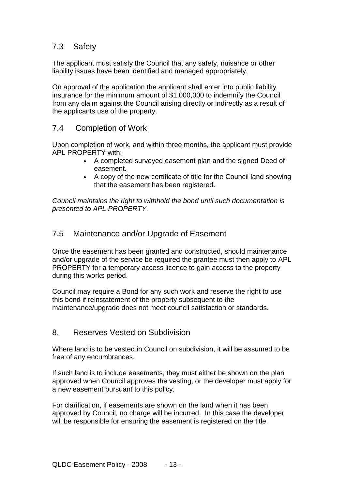### 7.3 Safety

The applicant must satisfy the Council that any safety, nuisance or other liability issues have been identified and managed appropriately.

On approval of the application the applicant shall enter into public liability insurance for the minimum amount of \$1,000,000 to indemnify the Council from any claim against the Council arising directly or indirectly as a result of the applicants use of the property.

#### 7.4 Completion of Work

Upon completion of work, and within three months, the applicant must provide APL PROPERTY with:

- A completed surveyed easement plan and the signed Deed of easement.
- A copy of the new certificate of title for the Council land showing that the easement has been registered.

*Council maintains the right to withhold the bond until such documentation is presented to APL PROPERTY.*

#### 7.5 Maintenance and/or Upgrade of Easement

Once the easement has been granted and constructed, should maintenance and/or upgrade of the service be required the grantee must then apply to APL PROPERTY for a temporary access licence to gain access to the property during this works period.

Council may require a Bond for any such work and reserve the right to use this bond if reinstatement of the property subsequent to the maintenance/upgrade does not meet council satisfaction or standards.

#### 8. Reserves Vested on Subdivision

Where land is to be vested in Council on subdivision, it will be assumed to be free of any encumbrances.

If such land is to include easements, they must either be shown on the plan approved when Council approves the vesting, or the developer must apply for a new easement pursuant to this policy.

For clarification, if easements are shown on the land when it has been approved by Council, no charge will be incurred. In this case the developer will be responsible for ensuring the easement is registered on the title.